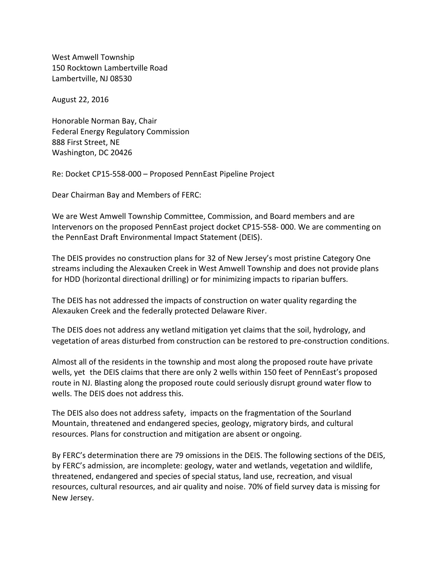West Amwell Township 150 Rocktown Lambertville Road Lambertville, NJ 08530

August 22, 2016

Honorable Norman Bay, Chair Federal Energy Regulatory Commission 888 First Street, NE Washington, DC 20426

Re: Docket CP15-558-000 – Proposed PennEast Pipeline Project

Dear Chairman Bay and Members of FERC:

We are West Amwell Township Committee, Commission, and Board members and are Intervenors on the proposed PennEast project docket CP15-558- 000. We are commenting on the PennEast Draft Environmental Impact Statement (DEIS).

The DEIS provides no construction plans for 32 of New Jersey's most pristine Category One streams including the Alexauken Creek in West Amwell Township and does not provide plans for HDD (horizontal directional drilling) or for minimizing impacts to riparian buffers.

The DEIS has not addressed the impacts of construction on water quality regarding the Alexauken Creek and the federally protected Delaware River.

The DEIS does not address any wetland mitigation yet claims that the soil, hydrology, and vegetation of areas disturbed from construction can be restored to pre-construction conditions.

Almost all of the residents in the township and most along the proposed route have private wells, yet the DEIS claims that there are only 2 wells within 150 feet of PennEast's proposed route in NJ. Blasting along the proposed route could seriously disrupt ground water flow to wells. The DEIS does not address this.

The DEIS also does not address safety, impacts on the fragmentation of the Sourland Mountain, threatened and endangered species, geology, migratory birds, and cultural resources. Plans for construction and mitigation are absent or ongoing.

By FERC's determination there are 79 omissions in the DEIS. The following sections of the DEIS, by FERC's admission, are incomplete: geology, water and wetlands, vegetation and wildlife, threatened, endangered and species of special status, land use, recreation, and visual resources, cultural resources, and air quality and noise. 70% of field survey data is missing for New Jersey.